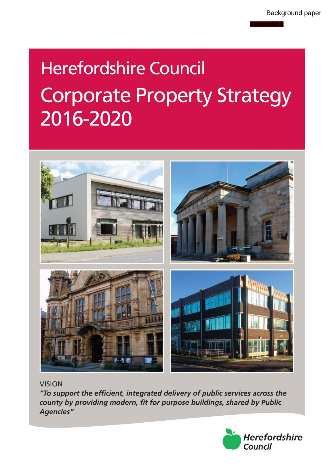**Appendix 1**

# **Herefordshire Council Corporate Property Strategy** 2016-2020



**VISION** 

"To support the efficient, integrated delivery of public services across the county by providing modern, fit for purpose buildings, shared by Public **Agencies"** 

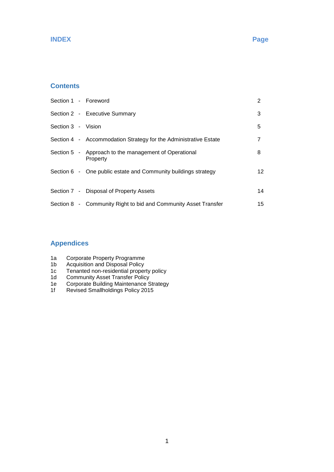#### **INDEX Page**

### **Contents**

| Section 1 - Foreword |                                                                   | 2  |
|----------------------|-------------------------------------------------------------------|----|
|                      | Section 2 - Executive Summary                                     | 3  |
| Section 3 - Vision   |                                                                   | 5  |
|                      | Section 4 - Accommodation Strategy for the Administrative Estate  | 7  |
|                      | Section 5 - Approach to the management of Operational<br>Property | 8  |
|                      | Section 6 - One public estate and Community buildings strategy    | 12 |
|                      | Section 7 - Disposal of Property Assets                           | 14 |
|                      | Section 8 - Community Right to bid and Community Asset Transfer   | 15 |

# **Appendices**

- 1a Corporate Property Programme
- 1b Acquisition and Disposal Policy
- 1c Tenanted non-residential property policy
- 1d Community Asset Transfer Policy
- 1e Corporate Building Maintenance Strategy
- 1f Revised Smallholdings Policy 2015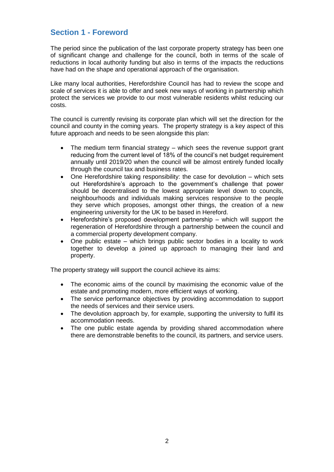# **Section 1 - Foreword**

The period since the publication of the last corporate property strategy has been one of significant change and challenge for the council, both in terms of the scale of reductions in local authority funding but also in terms of the impacts the reductions have had on the shape and operational approach of the organisation.

Like many local authorities, Herefordshire Council has had to review the scope and scale of services it is able to offer and seek new ways of working in partnership which protect the services we provide to our most vulnerable residents whilst reducing our costs.

The council is currently revising its corporate plan which will set the direction for the council and county in the coming years. The property strategy is a key aspect of this future approach and needs to be seen alongside this plan:

- The medium term financial strategy which sees the revenue support grant reducing from the current level of 18% of the council's net budget requirement annually until 2019/20 when the council will be almost entirely funded locally through the council tax and business rates.
- One Herefordshire taking responsibility: the case for devolution which sets out Herefordshire's approach to the government's challenge that power should be decentralised to the lowest appropriate level down to councils, neighbourhoods and individuals making services responsive to the people they serve which proposes, amongst other things, the creation of a new engineering university for the UK to be based in Hereford.
- Herefordshire's proposed development partnership which will support the regeneration of Herefordshire through a partnership between the council and a commercial property development company.
- One public estate which brings public sector bodies in a locality to work together to develop a joined up approach to managing their land and property.

The property strategy will support the council achieve its aims:

- The economic aims of the council by maximising the economic value of the estate and promoting modern, more efficient ways of working.
- The service performance objectives by providing accommodation to support the needs of services and their service users.
- The devolution approach by, for example, supporting the university to fulfil its accommodation needs.
- The one public estate agenda by providing shared accommodation where there are demonstrable benefits to the council, its partners, and service users.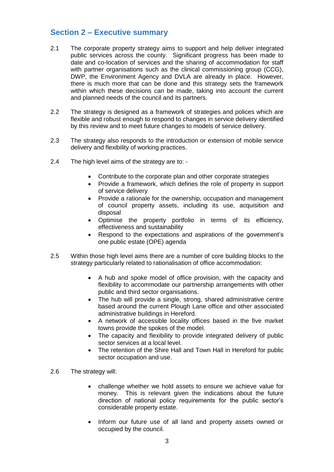# **Section 2 – Executive summary**

- 2.1 The corporate property strategy aims to support and help deliver integrated public services across the county. Significant progress has been made to date and co-location of services and the sharing of accommodation for staff with partner organisations such as the clinical commissioning group (CCG), DWP, the Environment Agency and DVLA are already in place. However, there is much more that can be done and this strategy sets the framework within which these decisions can be made, taking into account the current and planned needs of the council and its partners.
- 2.2 The strategy is designed as a framework of strategies and polices which are flexible and robust enough to respond to changes in service delivery identified by this review and to meet future changes to models of service delivery.
- 2.3 The strategy also responds to the introduction or extension of mobile service delivery and flexibility of working practices.
- 2.4 The high level aims of the strategy are to:
	- Contribute to the corporate plan and other corporate strategies
	- Provide a framework, which defines the role of property in support of service delivery
	- Provide a rationale for the ownership, occupation and management of council property assets, including its use, acquisition and disposal
	- Optimise the property portfolio in terms of its efficiency, effectiveness and sustainability
	- Respond to the expectations and aspirations of the government's one public estate (OPE) agenda
- 2.5 Within those high level aims there are a number of core building blocks to the strategy particularly related to rationalisation of office accommodation:
	- A hub and spoke model of office provision, with the capacity and flexibility to accommodate our partnership arrangements with other public and third sector organisations.
	- The hub will provide a single, strong, shared administrative centre based around the current Plough Lane office and other associated administrative buildings in Hereford.
	- A network of accessible locality offices based in the five market towns provide the spokes of the model.
	- The capacity and flexibility to provide integrated delivery of public sector services at a local level.
	- The retention of the Shire Hall and Town Hall in Hereford for public sector occupation and use.
- 2.6 The strategy will:
	- challenge whether we hold assets to ensure we achieve value for money. This is relevant given the indications about the future direction of national policy requirements for the public sector's considerable property estate.
	- Inform our future use of all land and property assets owned or occupied by the council.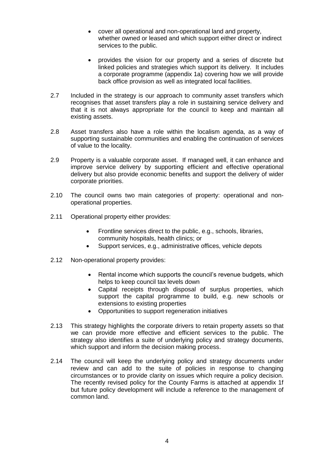- cover all operational and non-operational land and property, whether owned or leased and which support either direct or indirect services to the public.
- provides the vision for our property and a series of discrete but linked policies and strategies which support its delivery. It includes a corporate programme (appendix 1a) covering how we will provide back office provision as well as integrated local facilities.
- 2.7 Included in the strategy is our approach to community asset transfers which recognises that asset transfers play a role in sustaining service delivery and that it is not always appropriate for the council to keep and maintain all existing assets.
- 2.8 Asset transfers also have a role within the localism agenda, as a way of supporting sustainable communities and enabling the continuation of services of value to the locality.
- 2.9 Property is a valuable corporate asset. If managed well, it can enhance and improve service delivery by supporting efficient and effective operational delivery but also provide economic benefits and support the delivery of wider corporate priorities.
- 2.10 The council owns two main categories of property: operational and nonoperational properties.
- 2.11 Operational property either provides:
	- Frontline services direct to the public, e.g., schools, libraries, community hospitals, health clinics; or
	- Support services, e.g., administrative offices, vehicle depots
- 2.12 Non-operational property provides:
	- Rental income which supports the council's revenue budgets, which helps to keep council tax levels down
	- Capital receipts through disposal of surplus properties, which support the capital programme to build, e.g. new schools or extensions to existing properties
	- Opportunities to support regeneration initiatives
- 2.13 This strategy highlights the corporate drivers to retain property assets so that we can provide more effective and efficient services to the public. The strategy also identifies a suite of underlying policy and strategy documents, which support and inform the decision making process.
- 2.14 The council will keep the underlying policy and strategy documents under review and can add to the suite of policies in response to changing circumstances or to provide clarity on issues which require a policy decision. The recently revised policy for the County Farms is attached at appendix 1f but future policy development will include a reference to the management of common land.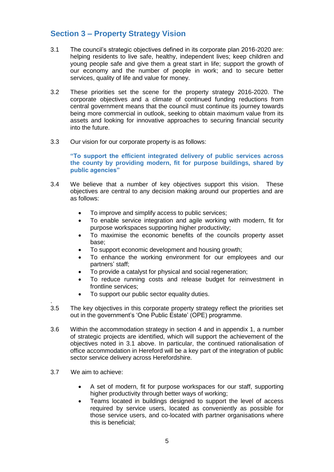# **Section 3 – Property Strategy Vision**

- 3.1 The council's strategic objectives defined in its corporate plan 2016-2020 are: helping residents to live safe, healthy, independent lives; keep children and young people safe and give them a great start in life; support the growth of our economy and the number of people in work; and to secure better services, quality of life and value for money.
- 3.2 These priorities set the scene for the property strategy 2016-2020. The corporate objectives and a climate of continued funding reductions from central government means that the council must continue its journey towards being more commercial in outlook, seeking to obtain maximum value from its assets and looking for innovative approaches to securing financial security into the future.
- 3.3 Our vision for our corporate property is as follows:

**"To support the efficient integrated delivery of public services across the county by providing modern, fit for purpose buildings, shared by public agencies"**

- 3.4 We believe that a number of key objectives support this vision. These objectives are central to any decision making around our properties and are as follows:
	- To improve and simplify access to public services;
	- To enable service integration and agile working with modern, fit for purpose workspaces supporting higher productivity;
	- To maximise the economic benefits of the councils property asset base;
	- To support economic development and housing growth;
	- To enhance the working environment for our employees and our partners' staff;
	- To provide a catalyst for physical and social regeneration;
	- To reduce running costs and release budget for reinvestment in frontline services;
	- To support our public sector equality duties.
- . 3.5 The key objectives in this corporate property strategy reflect the priorities set out in the government's 'One Public Estate' (OPE) programme.
- 3.6 Within the accommodation strategy in section 4 and in appendix 1, a number of strategic projects are identified, which will support the achievement of the objectives noted in 3.1 above. In particular, the continued rationalisation of office accommodation in Hereford will be a key part of the integration of public sector service delivery across Herefordshire.
- 3.7 We aim to achieve:
	- A set of modern, fit for purpose workspaces for our staff, supporting higher productivity through better ways of working;
	- Teams located in buildings designed to support the level of access required by service users, located as conveniently as possible for those service users, and co-located with partner organisations where this is beneficial;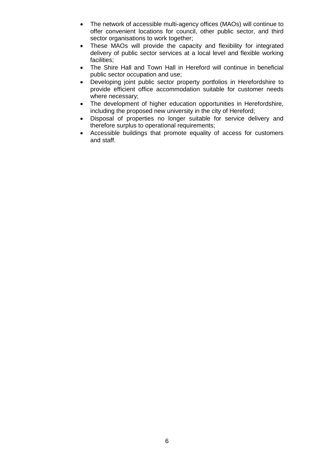- The network of accessible multi-agency offices (MAOs) will continue to offer convenient locations for council, other public sector, and third sector organisations to work together;
- These MAOs will provide the capacity and flexibility for integrated delivery of public sector services at a local level and flexible working facilities;
- The Shire Hall and Town Hall in Hereford will continue in beneficial public sector occupation and use;
- Developing joint public sector property portfolios in Herefordshire to provide efficient office accommodation suitable for customer needs where necessary;
- The development of higher education opportunities in Herefordshire, including the proposed new university in the city of Hereford;
- Disposal of properties no longer suitable for service delivery and therefore surplus to operational requirements;
- Accessible buildings that promote equality of access for customers and staff.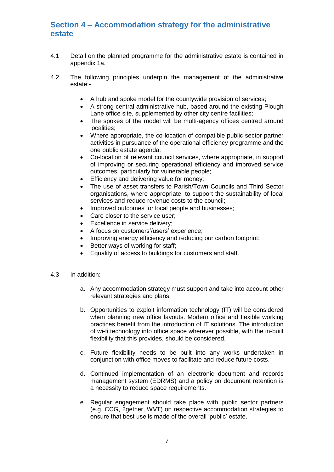# **Section 4 – Accommodation strategy for the administrative estate**

- 4.1 Detail on the planned programme for the administrative estate is contained in appendix 1a.
- 4.2 The following principles underpin the management of the administrative estate:-
	- A hub and spoke model for the countywide provision of services;
	- A strong central administrative hub, based around the existing Plough Lane office site, supplemented by other city centre facilities;
	- The spokes of the model will be multi-agency offices centred around localities;
	- Where appropriate, the co-location of compatible public sector partner activities in pursuance of the operational efficiency programme and the one public estate agenda;
	- Co-location of relevant council services, where appropriate, in support of improving or securing operational efficiency and improved service outcomes, particularly for vulnerable people;
	- Efficiency and delivering value for money;
	- The use of asset transfers to Parish/Town Councils and Third Sector organisations, where appropriate, to support the sustainability of local services and reduce revenue costs to the council;
	- Improved outcomes for local people and businesses;
	- Care closer to the service user;
	- Excellence in service delivery;
	- A focus on customers'/users' experience;
	- Improving energy efficiency and reducing our carbon footprint;
	- Better ways of working for staff;
	- Equality of access to buildings for customers and staff.
- 4.3 In addition:
	- a. Any accommodation strategy must support and take into account other relevant strategies and plans.
	- b. Opportunities to exploit information technology (IT) will be considered when planning new office layouts. Modern office and flexible working practices benefit from the introduction of IT solutions. The introduction of wi-fi technology into office space wherever possible, with the in-built flexibility that this provides, should be considered.
	- c. Future flexibility needs to be built into any works undertaken in conjunction with office moves to facilitate and reduce future costs.
	- d. Continued implementation of an electronic document and records management system (EDRMS) and a policy on document retention is a necessity to reduce space requirements.
	- e. Regular engagement should take place with public sector partners (e.g. CCG, 2gether, WVT) on respective accommodation strategies to ensure that best use is made of the overall 'public' estate.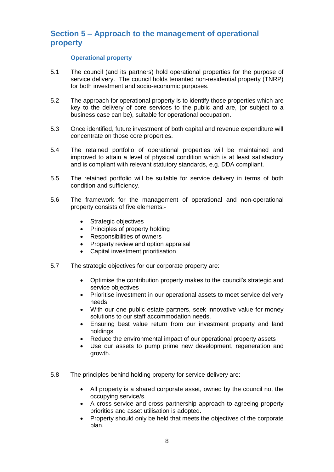# **Section 5 – Approach to the management of operational property**

#### **Operational property**

- 5.1 The council (and its partners) hold operational properties for the purpose of service delivery. The council holds tenanted non-residential property (TNRP) for both investment and socio-economic purposes.
- 5.2 The approach for operational property is to identify those properties which are key to the delivery of core services to the public and are, (or subject to a business case can be), suitable for operational occupation.
- 5.3 Once identified, future investment of both capital and revenue expenditure will concentrate on those core properties.
- 5.4 The retained portfolio of operational properties will be maintained and improved to attain a level of physical condition which is at least satisfactory and is compliant with relevant statutory standards, e.g. DDA compliant.
- 5.5 The retained portfolio will be suitable for service delivery in terms of both condition and sufficiency.
- 5.6 The framework for the management of operational and non-operational property consists of five elements:-
	- Strategic objectives
	- Principles of property holding
	- Responsibilities of owners
	- Property review and option appraisal
	- Capital investment prioritisation
- 5.7 The strategic objectives for our corporate property are:
	- Optimise the contribution property makes to the council's strategic and service objectives
	- Prioritise investment in our operational assets to meet service delivery needs
	- With our one public estate partners, seek innovative value for money solutions to our staff accommodation needs.
	- Ensuring best value return from our investment property and land holdings
	- Reduce the environmental impact of our operational property assets
	- Use our assets to pump prime new development, regeneration and growth.
- 5.8 The principles behind holding property for service delivery are:
	- All property is a shared corporate asset, owned by the council not the occupying service/s.
	- A cross service and cross partnership approach to agreeing property priorities and asset utilisation is adopted.
	- Property should only be held that meets the objectives of the corporate plan.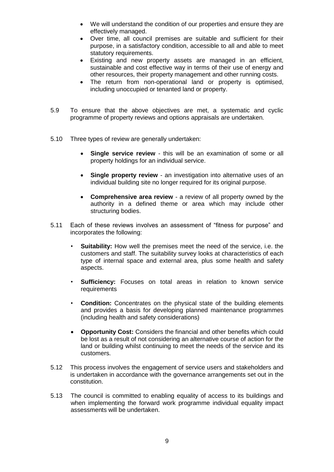- We will understand the condition of our properties and ensure they are effectively managed.
- Over time, all council premises are suitable and sufficient for their purpose, in a satisfactory condition, accessible to all and able to meet statutory requirements.
- Existing and new property assets are managed in an efficient, sustainable and cost effective way in terms of their use of energy and other resources, their property management and other running costs.
- The return from non-operational land or property is optimised, including unoccupied or tenanted land or property.
- 5.9 To ensure that the above objectives are met, a systematic and cyclic programme of property reviews and options appraisals are undertaken.
- 5.10 Three types of review are generally undertaken:
	- **Single service review**  this will be an examination of some or all property holdings for an individual service.
	- **Single property review**  an investigation into alternative uses of an individual building site no longer required for its original purpose.
	- **Comprehensive area review**  a review of all property owned by the authority in a defined theme or area which may include other structuring bodies.
- 5.11 Each of these reviews involves an assessment of "fitness for purpose" and incorporates the following:
	- **Suitability:** How well the premises meet the need of the service, i.e. the customers and staff. The suitability survey looks at characteristics of each type of internal space and external area, plus some health and safety aspects.
	- **Sufficiency:** Focuses on total areas in relation to known service requirements
	- **Condition:** Concentrates on the physical state of the building elements and provides a basis for developing planned maintenance programmes (including health and safety considerations)
	- **Opportunity Cost:** Considers the financial and other benefits which could be lost as a result of not considering an alternative course of action for the land or building whilst continuing to meet the needs of the service and its customers.
- 5.12 This process involves the engagement of service users and stakeholders and is undertaken in accordance with the governance arrangements set out in the constitution.
- 5.13 The council is committed to enabling equality of access to its buildings and when implementing the forward work programme individual equality impact assessments will be undertaken.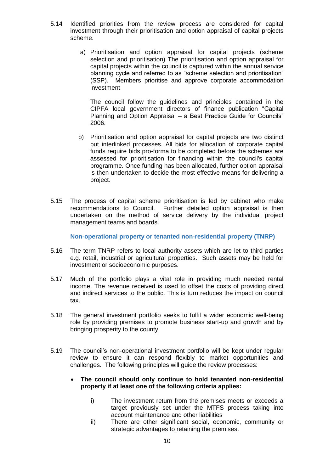- 5.14 Identified priorities from the review process are considered for capital investment through their prioritisation and option appraisal of capital projects scheme.
	- a) Prioritisation and option appraisal for capital projects (scheme selection and prioritisation) The prioritisation and option appraisal for capital projects within the council is captured within the annual service planning cycle and referred to as "scheme selection and prioritisation" (SSP). Members prioritise and approve corporate accommodation investment

The council follow the guidelines and principles contained in the CIPFA local government directors of finance publication "Capital Planning and Option Appraisal – a Best Practice Guide for Councils" 2006.

- b) Prioritisation and option appraisal for capital projects are two distinct but interlinked processes. All bids for allocation of corporate capital funds require bids pro-forma to be completed before the schemes are assessed for prioritisation for financing within the council's capital programme. Once funding has been allocated, further option appraisal is then undertaken to decide the most effective means for delivering a project.
- 5.15 The process of capital scheme prioritisation is led by cabinet who make recommendations to Council. Further detailed option appraisal is then undertaken on the method of service delivery by the individual project management teams and boards.

**Non-operational property or tenanted non-residential property (TNRP)**

- 5.16 The term TNRP refers to local authority assets which are let to third parties e.g. retail, industrial or agricultural properties. Such assets may be held for investment or socioeconomic purposes.
- 5.17 Much of the portfolio plays a vital role in providing much needed rental income. The revenue received is used to offset the costs of providing direct and indirect services to the public. This is turn reduces the impact on council tax.
- 5.18 The general investment portfolio seeks to fulfil a wider economic well-being role by providing premises to promote business start-up and growth and by bringing prosperity to the county.
- 5.19 The council's non-operational investment portfolio will be kept under regular review to ensure it can respond flexibly to market opportunities and challenges. The following principles will guide the review processes:

#### **The council should only continue to hold tenanted non-residential property if at least one of the following criteria applies:**

- i) The investment return from the premises meets or exceeds a target previously set under the MTFS process taking into account maintenance and other liabilities
- ii) There are other significant social, economic, community or strategic advantages to retaining the premises.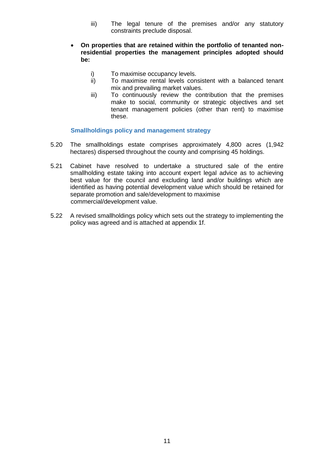- iii) The legal tenure of the premises and/or any statutory constraints preclude disposal.
- **On properties that are retained within the portfolio of tenanted nonresidential properties the management principles adopted should be:**
	- i) To maximise occupancy levels.
	- ii) To maximise rental levels consistent with a balanced tenant mix and prevailing market values.
	- iii) To continuously review the contribution that the premises make to social, community or strategic objectives and set tenant management policies (other than rent) to maximise these.

#### **Smallholdings policy and management strategy**

- 5.20 The smallholdings estate comprises approximately 4,800 acres (1,942 hectares) dispersed throughout the county and comprising 45 holdings.
- 5.21 Cabinet have resolved to undertake a structured sale of the entire smallholding estate taking into account expert legal advice as to achieving best value for the council and excluding land and/or buildings which are identified as having potential development value which should be retained for separate promotion and sale/development to maximise commercial/development value.
- 5.22 A revised smallholdings policy which sets out the strategy to implementing the policy was agreed and is attached at appendix 1f.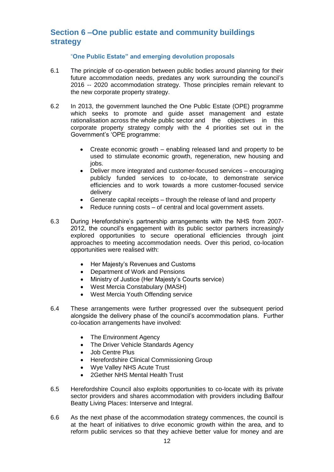# **Section 6 –One public estate and community buildings strategy**

#### "**One Public Estate" and emerging devolution proposals**

- 6.1 The principle of co-operation between public bodies around planning for their future accommodation needs, predates any work surrounding the council's 2016 -- 2020 accommodation strategy. Those principles remain relevant to the new corporate property strategy.
- 6.2 In 2013, the government launched the One Public Estate (OPE) programme which seeks to promote and guide asset management and estate rationalisation across the whole public sector and the objectives in this corporate property strategy comply with the 4 priorities set out in the Government's 'OPE programme:
	- Create economic growth enabling released land and property to be used to stimulate economic growth, regeneration, new housing and jobs.
	- Deliver more integrated and customer-focused services encouraging publicly funded services to co-locate, to demonstrate service efficiencies and to work towards a more customer-focused service delivery
	- Generate capital receipts through the release of land and property
	- Reduce running costs of central and local government assets.
- 6.3 During Herefordshire's partnership arrangements with the NHS from 2007- 2012, the council's engagement with its public sector partners increasingly explored opportunities to secure operational efficiencies through joint approaches to meeting accommodation needs. Over this period, co-location opportunities were realised with:
	- Her Majesty's Revenues and Customs
	- Department of Work and Pensions
	- Ministry of Justice (Her Majesty's Courts service)
	- West Mercia Constabulary (MASH)
	- West Mercia Youth Offending service
- 6.4 These arrangements were further progressed over the subsequent period alongside the delivery phase of the council's accommodation plans. Further co-location arrangements have involved:
	- The Environment Agency
	- The Driver Vehicle Standards Agency
	- Job Centre Plus
	- Herefordshire Clinical Commissioning Group
	- Wye Valley NHS Acute Trust
	- 2Gether NHS Mental Health Trust
- 6.5 Herefordshire Council also exploits opportunities to co-locate with its private sector providers and shares accommodation with providers including Balfour Beatty Living Places: Interserve and Integral.
- 6.6 As the next phase of the accommodation strategy commences, the council is at the heart of initiatives to drive economic growth within the area, and to reform public services so that they achieve better value for money and are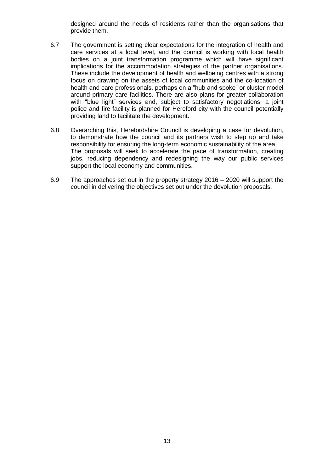designed around the needs of residents rather than the organisations that provide them.

- 6.7 The government is setting clear expectations for the integration of health and care services at a local level, and the council is working with local health bodies on a joint transformation programme which will have significant implications for the accommodation strategies of the partner organisations. These include the development of health and wellbeing centres with a strong focus on drawing on the assets of local communities and the co-location of health and care professionals, perhaps on a "hub and spoke" or cluster model around primary care facilities. There are also plans for greater collaboration with "blue light" services and, subject to satisfactory negotiations, a joint police and fire facility is planned for Hereford city with the council potentially providing land to facilitate the development.
- 6.8 Overarching this, Herefordshire Council is developing a case for devolution, to demonstrate how the council and its partners wish to step up and take responsibility for ensuring the long-term economic sustainability of the area. The proposals will seek to accelerate the pace of transformation, creating jobs, reducing dependency and redesigning the way our public services support the local economy and communities.
- 6.9 The approaches set out in the property strategy 2016 2020 will support the council in delivering the objectives set out under the devolution proposals.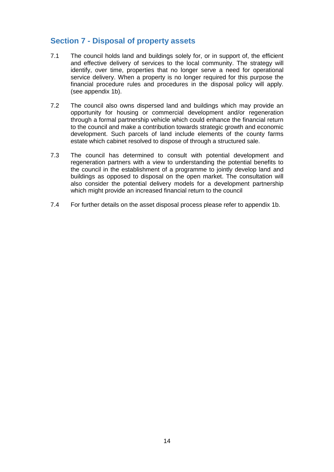# **Section 7 - Disposal of property assets**

- 7.1 The council holds land and buildings solely for, or in support of, the efficient and effective delivery of services to the local community. The strategy will identify, over time, properties that no longer serve a need for operational service delivery. When a property is no longer required for this purpose the financial procedure rules and procedures in the disposal policy will apply. (see appendix 1b).
- 7.2 The council also owns dispersed land and buildings which may provide an opportunity for housing or commercial development and/or regeneration through a formal partnership vehicle which could enhance the financial return to the council and make a contribution towards strategic growth and economic development. Such parcels of land include elements of the county farms estate which cabinet resolved to dispose of through a structured sale.
- 7.3 The council has determined to consult with potential development and regeneration partners with a view to understanding the potential benefits to the council in the establishment of a programme to jointly develop land and buildings as opposed to disposal on the open market. The consultation will also consider the potential delivery models for a development partnership which might provide an increased financial return to the council
- 7.4 For further details on the asset disposal process please refer to appendix 1b.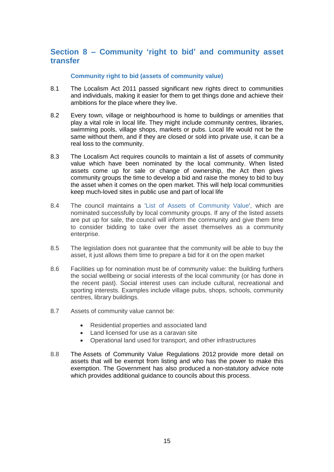# **Section 8 – Community 'right to bid' and community asset transfer**

#### **Community right to bid (assets of community value)**

- 8.1 The Localism Act 2011 passed significant new rights direct to communities and individuals, making it easier for them to get things done and achieve their ambitions for the place where they live.
- 8.2 Every town, village or neighbourhood is home to buildings or amenities that play a vital role in local life. They might include community centres, libraries, swimming pools, village shops, markets or pubs. Local life would not be the same without them, and if they are closed or sold into private use, it can be a real loss to the community.
- 8.3 The Localism Act requires councils to maintain a list of assets of community value which have been nominated by the local community. When listed assets come up for sale or change of ownership, the Act then gives community groups the time to develop a bid and raise the money to bid to buy the asset when it comes on the open market. This will help local communities keep much-loved sites in public use and part of local life
- 8.4 The council maintains a ['List of Assets of Community Value'](https://www.herefordshire.gov.uk/government-citizens-and-rights/democracy/community-right-to-bid/list-of-assets-of-community-value), which are nominated successfully by local community groups. If any of the listed assets are put up for sale, the council will inform the community and give them time to consider bidding to take over the asset themselves as a community enterprise.
- 8.5 The legislation does not guarantee that the community will be able to buy the asset, it just allows them time to prepare a bid for it on the open market
- 8.6 Facilities up for nomination must be of community value: the building furthers the social wellbeing or social interests of the local community (or has done in the recent past). Social interest uses can include cultural, recreational and sporting interests. Examples include village pubs, shops, schools, community centres, library buildings.
- 8.7 Assets of community value cannot be:
	- Residential properties and associated land
	- Land licensed for use as a caravan site
	- Operational land used for transport, and other infrastructures
- 8.8 The [Assets of Community Value Regulations 2012](http://www.legislation.gov.uk/ukdsi/2012/9780111525791/contents) provide more detail on assets that will be exempt from listing and who has the power to make this exemption. The Government has also produced [a non-statutory advice note](https://www.gov.uk/government/publications/community-right-to-bid-non-statutory-advice-note-for-local-authorities) which provides additional guidance to councils about this process.